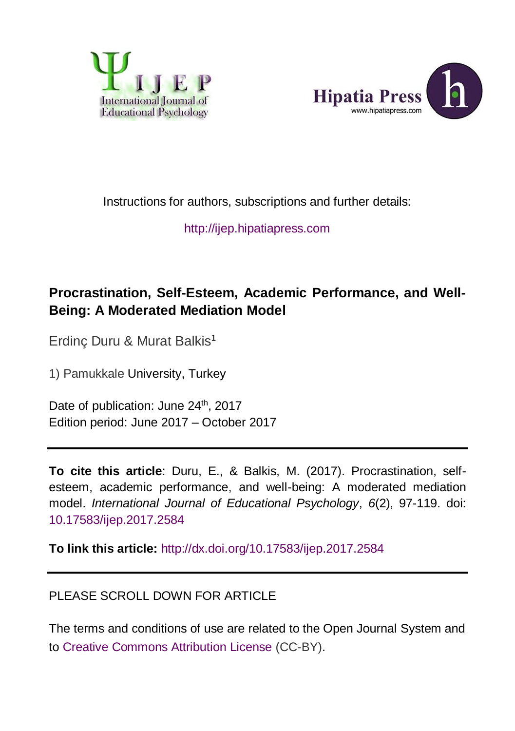



Instructions for authors, subscriptions and further details:

[http://ijep.hipatiapress.com](http://ijep.hipatiapress.com/)

### **Procrastination, Self-Esteem, Academic Performance, and Well-Being: A Moderated Mediation Model**

Erdinç Duru & Murat Balkis<sup>1</sup>

1) Pamukkale University, Turkey

Date of publication: June 24<sup>th</sup>, 2017 Edition period: June 2017 – October 2017

**To cite this article**: Duru, E., & Balkis, M. (2017). Procrastination, selfesteem, academic performance, and well-being: A moderated mediation model. *International Journal of Educational Psychology*, *6*(2), 97-119. doi: [10.17583/ijep.2017.2584](http://dx.doi.org/10.17583/ijep.2017.2584)

**To link this article:** <http://dx.doi.org/10.17583/ijep.2017.2584>

#### PLEASE SCROLL DOWN FOR ARTICLE

The terms and conditions of use are related to the Open Journal System and to [Creative Commons Attribution License](http://creativecommons.org/licenses/by/2.5/) (CC-BY).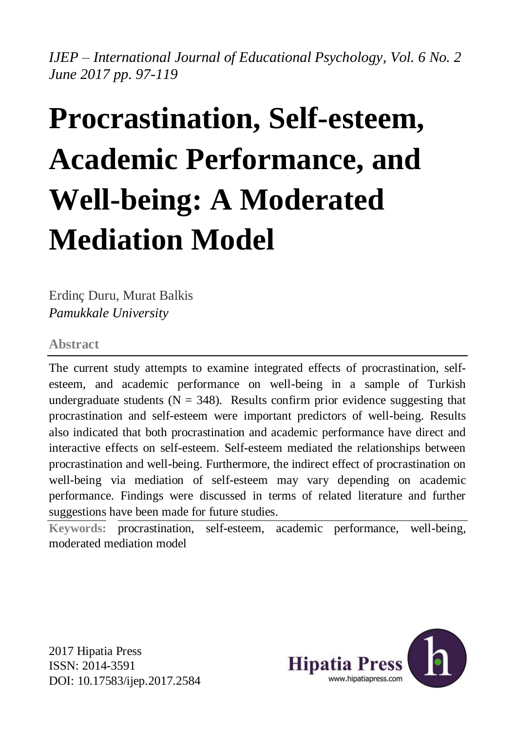*IJEP – International Journal of Educational Psychology, Vol. 6 No. 2 June 2017 pp. 97-119*

# **Procrastination, Self-esteem, Academic Performance, and Well-being: A Moderated Mediation Model**

Erdinç Duru, Murat Balkis *Pamukkale University*

#### **Abstract**

The current study attempts to examine integrated effects of procrastination, selfesteem, and academic performance on well-being in a sample of Turkish undergraduate students ( $N = 348$ ). Results confirm prior evidence suggesting that procrastination and self-esteem were important predictors of well-being. Results also indicated that both procrastination and academic performance have direct and interactive effects on self-esteem. Self-esteem mediated the relationships between procrastination and well-being. Furthermore, the indirect effect of procrastination on well-being via mediation of self-esteem may vary depending on academic performance. Findings were discussed in terms of related literature and further suggestions have been made for future studies.

**Keywords:** procrastination, self-esteem, academic performance, well-being, moderated mediation model

2017 Hipatia Press ISSN: 2014-3591 DOI: 10.17583/ijep.2017.2584

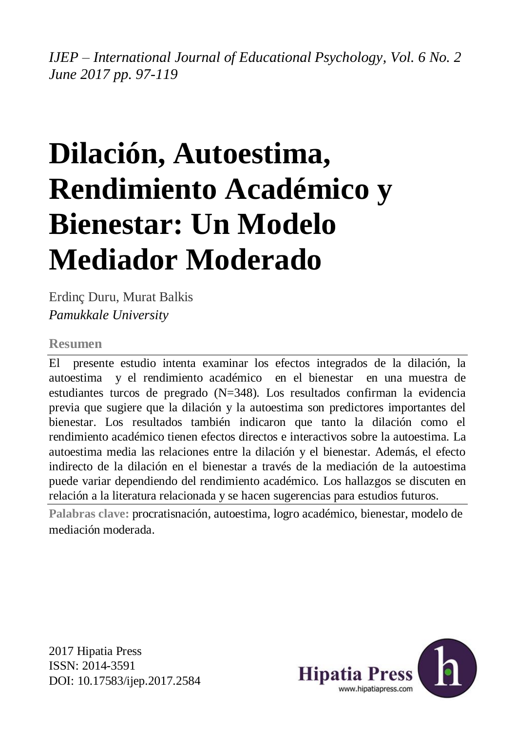*IJEP – International Journal of Educational Psychology, Vol. 6 No. 2 June 2017 pp. 97-119*

## **Dilación, Autoestima, Rendimiento Académico y Bienestar: Un Modelo Mediador Moderado**

Erdinç Duru, Murat Balkis *Pamukkale University*

#### **Resumen**

El presente estudio intenta examinar los efectos integrados de la dilación, la autoestima y el rendimiento académico en el bienestar en una muestra de estudiantes turcos de pregrado (N=348). Los resultados confirman la evidencia previa que sugiere que la dilación y la autoestima son predictores importantes del bienestar. Los resultados también indicaron que tanto la dilación como el rendimiento académico tienen efectos directos e interactivos sobre la autoestima. La autoestima media las relaciones entre la dilación y el bienestar. Además, el efecto indirecto de la dilación en el bienestar a través de la mediación de la autoestima puede variar dependiendo del rendimiento académico. Los hallazgos se discuten en relación a la literatura relacionada y se hacen sugerencias para estudios futuros.

**Palabras clave:** procratisnación, autoestima, logro académico, bienestar, modelo de mediación moderada.

2017 Hipatia Press ISSN: 2014-3591 DOI: 10.17583/ijep.2017.2584

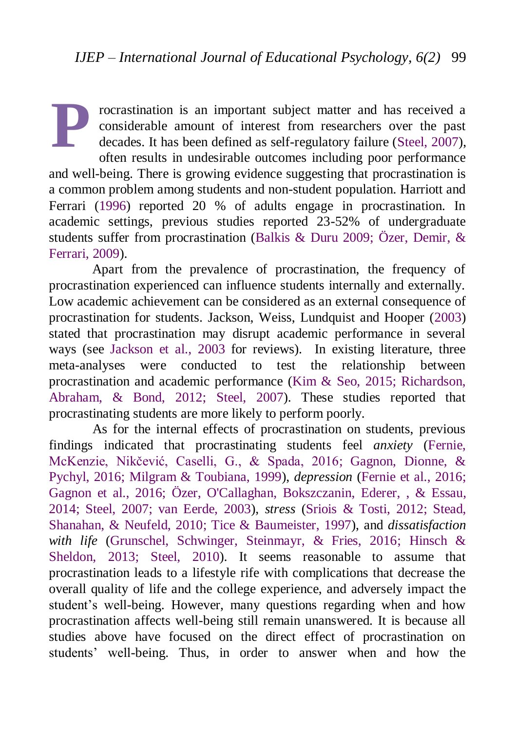rocrastination is an important subject matter and has received a considerable amount of interest from researchers over the past decades. It has been defined as self-regulatory failure [\(Steel, 2007\)](#page-22-0), often results in undesirable outcomes including poor performance and well-being. There is growing evidence suggesting that procrastination is a common problem among students and non-student population. Harriott and Ferrari [\(1996\)](#page-18-0) reported 20 % of adults engage in procrastination. In academic settings, previous studies reported 23-52% of undergraduate students suffer from procrastination [\(Balkis & Duru 2009;](#page-17-0) [Özer, Demir, &](#page-20-0)  [Ferrari, 2009\)](#page-20-0). **P**

Apart from the prevalence of procrastination, the frequency of procrastination experienced can influence students internally and externally. Low academic achievement can be considered as an external consequence of procrastination for students. Jackson, Weiss, Lundquist and Hooper [\(2003\)](#page-19-0) stated that procrastination may disrupt academic performance in several ways (see [Jackson et al., 2003](#page-19-0) for reviews). In existing literature, three meta-analyses were conducted to test the relationship between procrastination and academic performance [\(Kim & Seo, 2015;](#page-19-1) [Richardson,](#page-21-0)  [Abraham, & Bond, 2012;](#page-21-0) [Steel, 2007\)](#page-22-0). These studies reported that procrastinating students are more likely to perform poorly.

As for the internal effects of procrastination on students, previous findings indicated that procrastinating students feel *anxiety* [\(Fernie,](#page-18-1)  [McKenzie, Nikčević, Caselli, G., & Spada, 2016;](#page-18-1) [Gagnon, Dionne, &](#page-19-2)  [Pychyl, 2016;](#page-19-2) [Milgram & Toubiana, 1999\)](#page-20-1), *depression* [\(Fernie et al., 2016;](#page-18-1) [Gagnon et al., 2016;](#page-19-2) [Özer, O'Callaghan, Bokszczanin, Ederer, , & Essau,](#page-20-2)  [2014;](#page-20-2) [Steel, 2007;](#page-22-0) [van Eerde, 2003\)](#page-23-0), *stress* [\(Sriois & Tosti, 2012;](#page-21-1) [Stead,](#page-22-1)  [Shanahan, & Neufeld, 2010;](#page-22-1) [Tice & Baumeister, 1997\)](#page-22-2), and *dissatisfaction with life* [\(Grunschel, Schwinger, Steinmayr, & Fries, 2016;](#page-19-3) [Hinsch &](#page-19-4)  [Sheldon, 2013;](#page-19-4) [Steel, 2010\)](#page-22-3). It seems reasonable to assume that procrastination leads to a lifestyle rife with complications that decrease the overall quality of life and the college experience, and adversely impact the student's well-being. However, many questions regarding when and how procrastination affects well-being still remain unanswered. It is because all studies above have focused on the direct effect of procrastination on students' well-being. Thus, in order to answer when and how the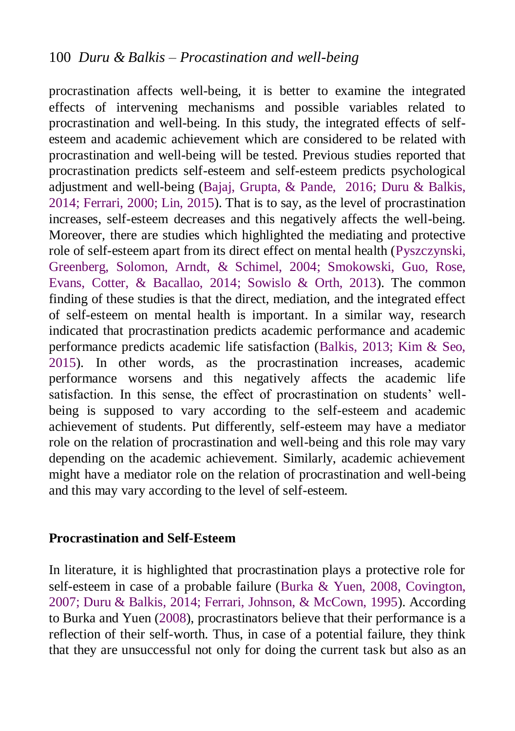procrastination affects well-being, it is better to examine the integrated effects of intervening mechanisms and possible variables related to procrastination and well-being. In this study, the integrated effects of selfesteem and academic achievement which are considered to be related with procrastination and well-being will be tested. Previous studies reported that procrastination predicts self-esteem and self-esteem predicts psychological adjustment and well-being [\(Bajaj, Grupta, & Pande, 2016;](#page-17-1) [Duru & Balkis,](#page-18-2)  [2014;](#page-18-2) [Ferrari, 2000;](#page-18-3) [Lin, 2015\)](#page-20-3). That is to say, as the level of procrastination increases, self-esteem decreases and this negatively affects the well-being. Moreover, there are studies which highlighted the mediating and protective role of self-esteem apart from its direct effect on mental health [\(Pyszczynski,](#page-21-2)  [Greenberg, Solomon, Arndt,](#page-21-2) & Schimel, 2004; [Smokowski, Guo, Rose,](#page-21-3)  [Evans, Cotter, & Bacallao, 2014;](#page-21-3) [Sowislo & Orth, 2013\)](#page-22-4). The common finding of these studies is that the direct, mediation, and the integrated effect of self-esteem on mental health is important. In a similar way, research indicated that procrastination predicts academic performance and academic performance predicts academic life satisfaction [\(Balkis, 2013;](#page-17-2) [Kim &](#page-19-1) Seo, [2015\)](#page-19-1). In other words, as the procrastination increases, academic performance worsens and this negatively affects the academic life satisfaction. In this sense, the effect of procrastination on students' wellbeing is supposed to vary according to the self-esteem and academic achievement of students. Put differently, self-esteem may have a mediator role on the relation of procrastination and well-being and this role may vary depending on the academic achievement. Similarly, academic achievement might have a mediator role on the relation of procrastination and well-being and this may vary according to the level of self-esteem.

#### **Procrastination and Self-Esteem**

In literature, it is highlighted that procrastination plays a protective role for self-esteem in case of a probable failure [\(Burka & Yuen, 2008,](#page-17-3) [Covington,](#page-18-4)  [2007;](#page-18-4) [Duru & Balkis, 2014;](#page-18-2) [Ferrari, Johnson, & McCown, 1995\)](#page-18-5). According to Burka and Yuen [\(2008\)](#page-17-3), procrastinators believe that their performance is a reflection of their self-worth. Thus, in case of a potential failure, they think that they are unsuccessful not only for doing the current task but also as an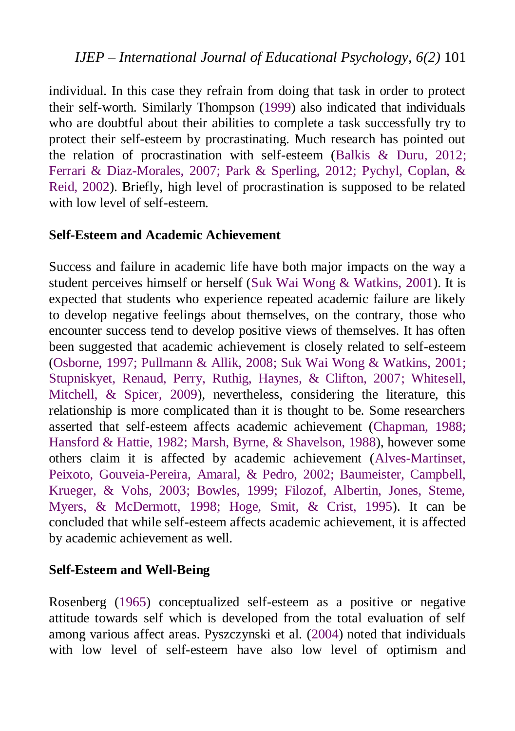individual. In this case they refrain from doing that task in order to protect their self-worth. Similarly Thompson [\(1999\)](#page-22-5) also indicated that individuals who are doubtful about their abilities to complete a task successfully try to protect their self-esteem by procrastinating. Much research has pointed out the relation of procrastination with self-esteem [\(Balkis & Duru, 2012;](#page-17-4) [Ferrari & Diaz-Morales, 2007;](#page-18-6) [Park & Sperling, 2012;](#page-21-4) [Pychyl, Coplan, &](#page-21-5)  [Reid, 2002\)](#page-21-5). Briefly, high level of procrastination is supposed to be related with low level of self-esteem.

#### **Self-Esteem and Academic Achievement**

Success and failure in academic life have both major impacts on the way a student perceives himself or herself [\(Suk Wai Wong & Watkins, 2001\)](#page-22-6). It is expected that students who experience repeated academic failure are likely to develop negative feelings about themselves, on the contrary, those who encounter success tend to develop positive views of themselves. It has often been suggested that academic achievement is closely related to self-esteem [\(Osborne, 1997;](#page-20-4) [Pullmann & Allik, 2008;](#page-21-6) [Suk Wai Wong & Watkins, 2001;](#page-22-6) [Stupniskyet, Renaud, Perry, Ruthig, Haynes, & Clifton, 2007;](#page-22-7) [Whitesell,](#page-23-1)  [Mitchell, & Spicer, 2009\)](#page-23-1), nevertheless, considering the literature, this relationship is more complicated than it is thought to be. Some researchers asserted that self-esteem affects academic achievement [\(Chapman, 1988;](#page-18-7) [Hansford & Hattie, 1982;](#page-19-5) [Marsh, Byrne, & Shavelson, 1988\)](#page-20-5), however some others claim it is affected by academic achievement [\(Alves-Martinset,](#page-17-5)  [Peixoto, Gouveia-Pereira, Amaral, & Pedro, 2002;](#page-17-5) [Baumeister, Campbell,](#page-17-6)  [Krueger, & Vohs, 2003;](#page-17-6) [Bowles, 1999; Filozof, Albertin, Jones, Steme,](#page-17-7)  [Myers, & McDermott, 1998;](#page-17-7) [Hoge, Smit, & Crist, 1995\)](#page-19-6). It can be concluded that while self-esteem affects academic achievement, it is affected by academic achievement as well.

#### **Self-Esteem and Well-Being**

Rosenberg [\(1965\)](#page-21-7) conceptualized self-esteem as a positive or negative attitude towards self which is developed from the total evaluation of self among various affect areas. Pyszczynski et al. [\(2004\)](#page-21-2) noted that individuals with low level of self-esteem have also low level of optimism and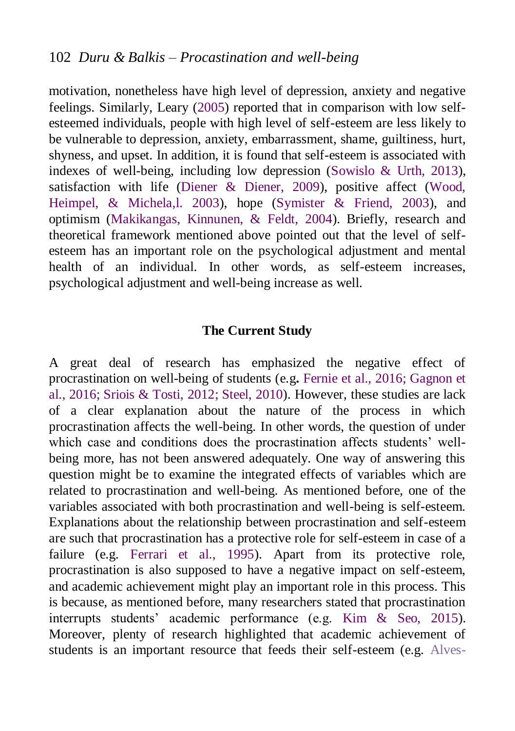motivation, nonetheless have high level of depression, anxiety and negative feelings. Similarly, Leary [\(2005\)](#page-20-6) reported that in comparison with low selfesteemed individuals, people with high level of self-esteem are less likely to be vulnerable to depression, anxiety, embarrassment, shame, guiltiness, hurt, shyness, and upset. In addition, it is found that self-esteem is associated with indexes of well-being, including low depression [\(Sowislo & Urth, 2013\)](#page-22-4), satisfaction with life [\(Diener & Diener, 2009\)](#page-18-8), positive affect [\(Wood,](#page-23-2)  [Heimpel, & Michela,l. 2003\)](#page-23-2), hope [\(Symister & Friend, 2003\)](#page-22-8), and optimism [\(Makikangas, Kinnunen, & Feldt, 2004\)](#page-20-7). Briefly, research and theoretical framework mentioned above pointed out that the level of selfesteem has an important role on the psychological adjustment and mental health of an individual. In other words, as self-esteem increases, psychological adjustment and well-being increase as well.

#### **The Current Study**

A great deal of research has emphasized the negative effect of procrastination on well-being of students (e.g**.** [Fernie et al., 2016;](#page-18-1) [Gagnon et](#page-19-2)  [al., 2016;](#page-19-2) [Sriois & Tosti, 2012;](#page-21-1) [Steel, 2010\)](#page-22-3). However, these studies are lack of a clear explanation about the nature of the process in which procrastination affects the well-being. In other words, the question of under which case and conditions does the procrastination affects students' wellbeing more, has not been answered adequately. One way of answering this question might be to examine the integrated effects of variables which are related to procrastination and well-being. As mentioned before, one of the variables associated with both procrastination and well-being is self-esteem. Explanations about the relationship between procrastination and self-esteem are such that procrastination has a protective role for self-esteem in case of a failure (e.g. [Ferrari et al., 1995\)](#page-18-5). Apart from its protective role, procrastination is also supposed to have a negative impact on self-esteem, and academic achievement might play an important role in this process. This is because, as mentioned before, many researchers stated that procrastination interrupts students' academic performance (e.g. [Kim & Seo, 2015\)](#page-19-1). Moreover, plenty of research highlighted that academic achievement of students is an important resource that feeds their self-esteem (e.g. [Alves-](#page-17-5)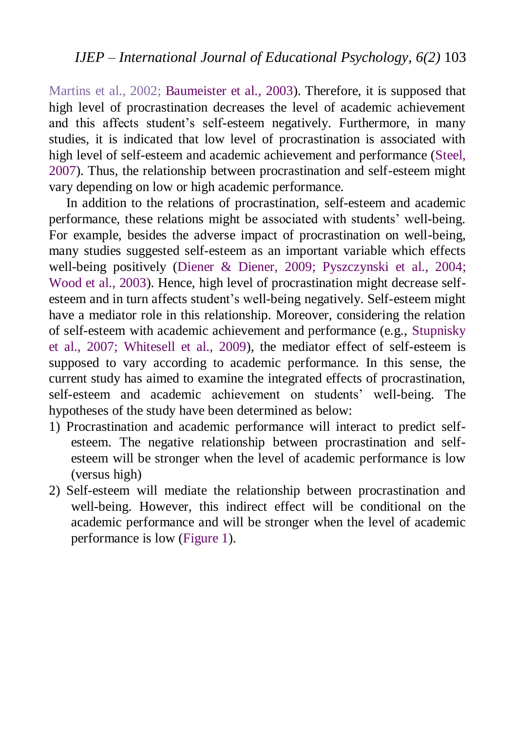[Martins et al., 2002;](#page-17-5) [Baumeister et al., 2003\)](#page-17-6). Therefore, it is supposed that high level of procrastination decreases the level of academic achievement and this affects student's self-esteem negatively. Furthermore, in many studies, it is indicated that low level of procrastination is associated with high level of self-esteem and academic achievement and performance [\(Steel,](#page-22-0)  [2007\)](#page-22-0). Thus, the relationship between procrastination and self-esteem might vary depending on low or high academic performance.

In addition to the relations of procrastination, self-esteem and academic performance, these relations might be associated with students' well-being. For example, besides the adverse impact of procrastination on well-being, many studies suggested self-esteem as an important variable which effects well-being positively [\(Diener & Diener, 2009;](#page-18-8) [Pyszczynski et al., 2004;](#page-21-2) [Wood et al., 2003\)](#page-23-2). Hence, high level of procrastination might decrease selfesteem and in turn affects student's well-being negatively. Self-esteem might have a mediator role in this relationship. Moreover, considering the relation of self-esteem with academic achievement and performance (e.g., [Stupnisky](#page-22-7)  [et al., 2007;](#page-22-7) [Whitesell et al., 2009\)](#page-23-1), the mediator effect of self-esteem is supposed to vary according to academic performance. In this sense, the current study has aimed to examine the integrated effects of procrastination, self-esteem and academic achievement on students' well-being. The hypotheses of the study have been determined as below:

- 1) Procrastination and academic performance will interact to predict selfesteem. The negative relationship between procrastination and selfesteem will be stronger when the level of academic performance is low (versus high)
- 2) Self-esteem will mediate the relationship between procrastination and well-being. However, this indirect effect will be conditional on the academic performance and will be stronger when the level of academic performance is low [\(Figure 1\)](#page-8-0).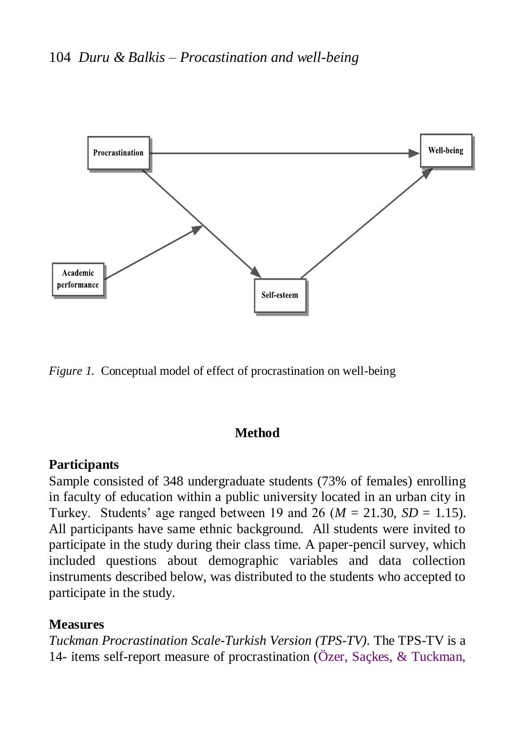

<span id="page-8-0"></span>*Figure 1.* Conceptual model of effect of procrastination on well-being

#### **Method**

#### **Participants**

Sample consisted of 348 undergraduate students (73% of females) enrolling in faculty of education within a public university located in an urban city in Turkey. Students' age ranged between 19 and 26 ( $M = 21.30$ ,  $SD = 1.15$ ). All participants have same ethnic background. All students were invited to participate in the study during their class time. A paper-pencil survey, which included questions about demographic variables and data collection instruments described below, was distributed to the students who accepted to participate in the study.

#### **Measures**

*Tuckman Procrastination Scale-Turkish Version (TPS-TV).* The TPS-TV is a 14- items self-report measure of procrastination [\(Özer, Saçkes, & Tuckman,](#page-20-2)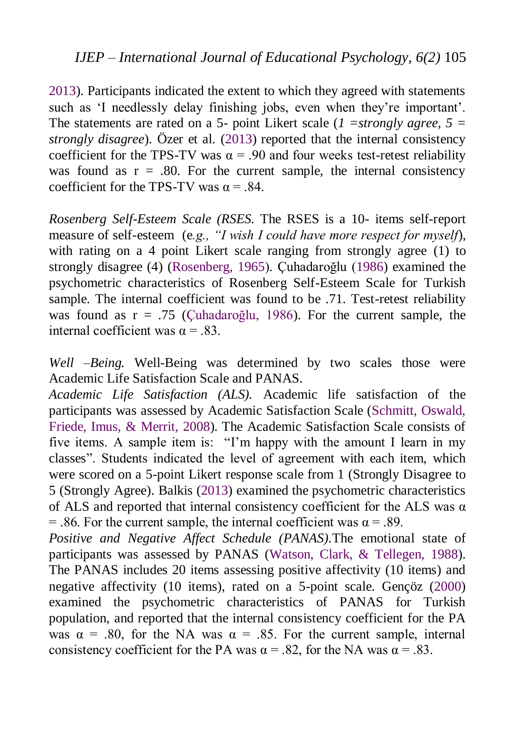[2013\)](#page-20-2). Participants indicated the extent to which they agreed with statements such as 'I needlessly delay finishing jobs, even when they're important'. The statements are rated on a 5- point Likert scale (*1 =strongly agree, 5 = strongly disagree*). Özer et al. [\(2013\)](#page-20-2) reported that the internal consistency coefficient for the TPS-TV was  $\alpha$  = .90 and four weeks test-retest reliability was found as  $r = .80$ . For the current sample, the internal consistency coefficient for the TPS-TV was  $\alpha = .84$ .

*Rosenberg Self-Esteem Scale (RSES.* The RSES is a 10- items self-report measure of self-esteem (e.g., "I wish I could have more respect for myself), with rating on a 4 point Likert scale ranging from strongly agree (1) to strongly disagree (4) [\(Rosenberg, 1965\)](#page-21-7). Çuhadaroğlu [\(1986\)](#page-18-9) examined the psychometric characteristics of Rosenberg Self-Esteem Scale for Turkish sample. The internal coefficient was found to be .71. Test-retest reliability was found as r = .75 [\(Çuhadaroğlu, 1986\)](#page-18-9). For the current sample, the internal coefficient was  $\alpha = .83$ .

*Well –Being.* Well-Being was determined by two scales those were Academic Life Satisfaction Scale and PANAS.

*Academic Life Satisfaction (ALS).* Academic life satisfaction of the participants was assessed by Academic Satisfaction Scale [\(Schmitt, Oswald,](#page-21-8)  [Friede, Imus, &](#page-21-8) Merrit, 2008). The Academic Satisfaction Scale consists of five items. A sample item is: "I'm happy with the amount I learn in my classes". Students indicated the level of agreement with each item, which were scored on a 5-point Likert response scale from 1 (Strongly Disagree to 5 (Strongly Agree). Balkis [\(2013\)](#page-17-2) examined the psychometric characteristics of ALS and reported that internal consistency coefficient for the ALS was  $\alpha$ = .86. For the current sample, the internal coefficient was  $\alpha$  = .89.

*Positive and Negative Affect Schedule (PANAS).*The emotional state of participants was assessed by PANAS [\(Watson, Clark, & Tellegen, 1988\)](#page-23-3). The PANAS includes 20 items assessing positive affectivity (10 items) and negative affectivity (10 items), rated on a 5-point scale. Gençöz [\(2000\)](#page-19-7) examined the psychometric characteristics of PANAS for Turkish population, and reported that the internal consistency coefficient for the PA was  $\alpha$  = .80, for the NA was  $\alpha$  = .85. For the current sample, internal consistency coefficient for the PA was  $\alpha = .82$ , for the NA was  $\alpha = .83$ .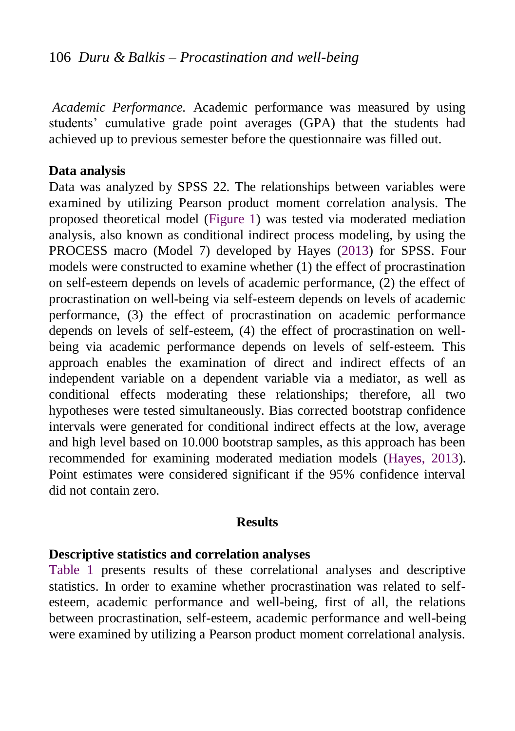*Academic Performance.* Academic performance was measured by using students' cumulative grade point averages (GPA) that the students had achieved up to previous semester before the questionnaire was filled out.

#### **Data analysis**

Data was analyzed by SPSS 22. The relationships between variables were examined by utilizing Pearson product moment correlation analysis. The proposed theoretical model (Figure 1) was tested via moderated mediation analysis, also known as conditional indirect process modeling, by using the PROCESS macro (Model 7) developed by [Hayes](http://www.sciencedirect.com/science/article/pii/S0165032714002080#bib24) (2013) for SPSS. Four models were constructed to examine whether (1) the effect of procrastination on self-esteem depends on levels of academic performance, (2) the effect of procrastination on well-being via self-esteem depends on levels of academic performance, (3) the effect of procrastination on academic performance depends on levels of self-esteem, (4) the effect of procrastination on wellbeing via academic performance depends on levels of self-esteem. This approach enables the examination of direct and indirect effects of an independent variable on a dependent variable via a mediator, as well as conditional effects moderating these relationships; therefore, all two hypotheses were tested simultaneously. Bias corrected bootstrap confidence intervals were generated for conditional indirect effects at the low, average and high level based on 10.000 bootstrap samples, as this approach has been recommended for examining moderated mediation models [\(Hayes, 2013\)](#page-19-8). Point estimates were considered significant if the 95% confidence interval did not contain zero.

#### **Results**

#### **Descriptive statistics and correlation analyses**

[Table 1](#page-11-0) presents results of these correlational analyses and descriptive statistics. In order to examine whether procrastination was related to selfesteem, academic performance and well-being, first of all, the relations between procrastination, self-esteem, academic performance and well-being were examined by utilizing a Pearson product moment correlational analysis.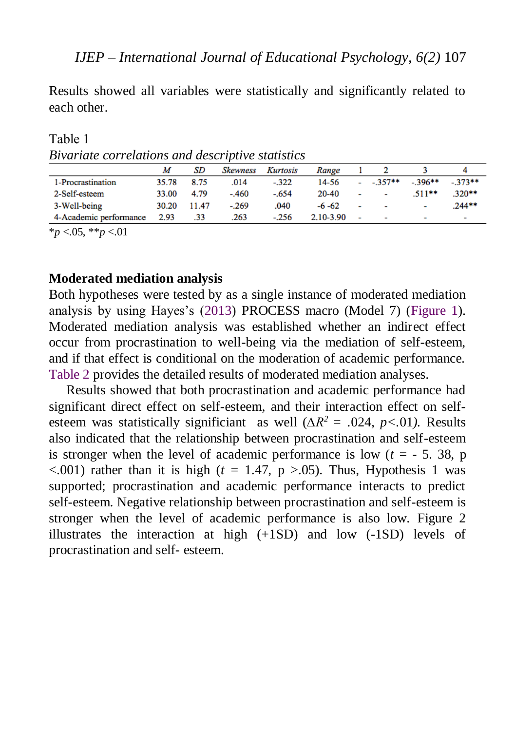Results showed all variables were statistically and significantly related to each other.

| Kurtosis<br>Range   |                          |                          |          |                          |
|---------------------|--------------------------|--------------------------|----------|--------------------------|
| 14-56<br>$-.322$    |                          |                          | $-396**$ | $-373**$                 |
| 20-40<br>$-.654$    | $\overline{\phantom{0}}$ | $\blacksquare$           | $.511**$ | $.320**$                 |
| .040<br>$-6 - 62$   | ٠                        | $\sim$                   | ٠        | $.244**$                 |
| 2.10-3.90<br>$-256$ | $\overline{\phantom{0}}$ | $\overline{\phantom{0}}$ | ۰        | $\overline{\phantom{0}}$ |
|                     |                          |                          | $-357**$ |                          |

<span id="page-11-0"></span>Table 1 *Bivariate correlations and descriptive statistics*

\**p* <.05, \*\**p* <.01

#### **Moderated mediation analysis**

Both hypotheses were tested by as a single instance of moderated mediation analysis by using Hayes's [\(2013\)](#page-19-8) PROCESS macro (Model 7) (Figure 1). Moderated mediation analysis was established whether an indirect effect occur from procrastination to well-being via the mediation of self-esteem, and if that effect is conditional on the moderation of academic performance. [Table 2](#page-13-0) provides the detailed results of moderated mediation analyses.

Results showed that both procrastination and academic performance had significant direct effect on self-esteem, and their interaction effect on selfesteem was statistically significiant as well (*∆R<sup>2</sup>= .*024*, p<.*01*).* Results also indicated that the relationship between procrastination and self-esteem is stronger when the level of academic performance is low  $(t = -5, 38, p)$  $\langle 0.001 \rangle$  rather than it is high ( $t = 1.47$ ,  $p > 0.05$ ). Thus, Hypothesis 1 was supported; procrastination and academic performance interacts to predict self-esteem. Negative relationship between procrastination and self-esteem is stronger when the level of academic performance is also low. Figure 2 illustrates the interaction at high (+1SD) and low (-1SD) levels of procrastination and self- esteem.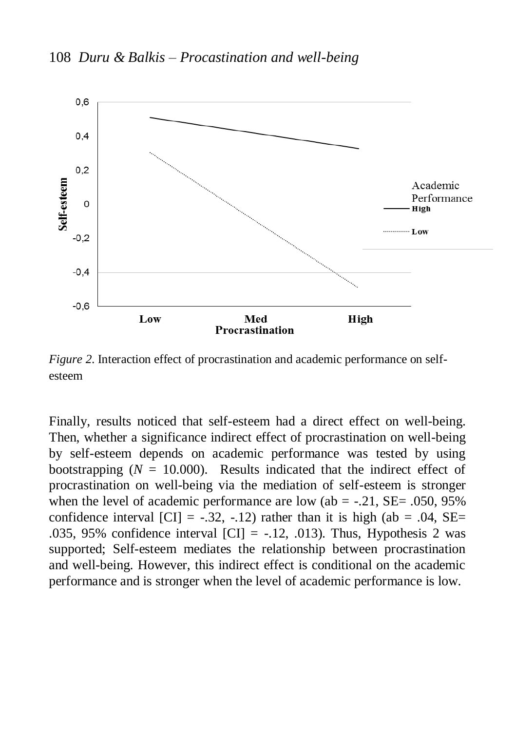

*Figure 2*. Interaction effect of procrastination and academic performance on selfesteem

Finally, results noticed that self-esteem had a direct effect on well-being. Then, whether a significance indirect effect of procrastination on well-being by self-esteem depends on academic performance was tested by using bootstrapping  $(N = 10.000)$ . Results indicated that the indirect effect of procrastination on well-being via the mediation of self-esteem is stronger when the level of academic performance are low (ab  $=$  -.21, SE $=$  .050, 95% confidence interval  $\text{[CI]} = -.32, -.12$ ) rather than it is high (ab = .04, SE= .035, 95% confidence interval  $|CI| = -12$ , 013). Thus, Hypothesis 2 was supported; Self-esteem mediates the relationship between procrastination and well-being. However, this indirect effect is conditional on the academic performance and is stronger when the level of academic performance is low.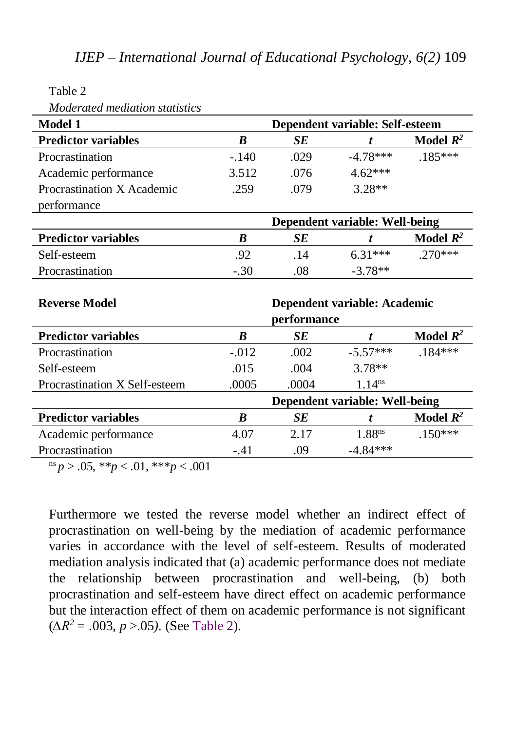<span id="page-13-0"></span>Table 2

*Moderated mediation statistics*

| <b>Model 1</b>                | Dependent variable: Self-esteem |       |                    |                      |  |  |
|-------------------------------|---------------------------------|-------|--------------------|----------------------|--|--|
| <b>Predictor variables</b>    | B                               | SE    | t                  | Model $\mathbb{R}^2$ |  |  |
| Procrastination               | $-.140$                         | .029  | $-4.78***$         | $.185***$            |  |  |
| Academic performance          | 3.512                           | .076  | $4.62***$          |                      |  |  |
| Procrastination X Academic    | .259                            | .079  | $3.28**$           |                      |  |  |
| performance                   |                                 |       |                    |                      |  |  |
|                               | Dependent variable: Well-being  |       |                    |                      |  |  |
| <b>Predictor variables</b>    | B                               | SЕ    | t                  | Model $\mathbb{R}^2$ |  |  |
| Self-esteem                   | .92                             | .14   | $6.31***$          | $.270***$            |  |  |
| Procrastination               | $-.30$                          | .08   | $-3.78**$          |                      |  |  |
|                               |                                 |       |                    |                      |  |  |
| <b>Reverse Model</b>          | Dependent variable: Academic    |       |                    |                      |  |  |
|                               | performance                     |       |                    |                      |  |  |
| <b>Predictor variables</b>    | B                               | SE    | t                  | Model $R^2$          |  |  |
| Procrastination               | $-.012$                         | .002  | $-5.57***$         | $.184***$            |  |  |
| Self-esteem                   | .015                            | .004  | $3.78**$           |                      |  |  |
| Procrastination X Self-esteem | .0005                           | .0004 | 1.14 <sup>ns</sup> |                      |  |  |
|                               | Dependent variable: Well-being  |       |                    |                      |  |  |
| <b>Predictor variables</b>    | B                               | SE    | t                  | Model $R^2$          |  |  |
| Academic performance          | 4.07                            | 2.17  | 1.88 <sup>ns</sup> | $.150***$            |  |  |
| Procrastination               | $-.41$                          | .09   | $-4.84***$         |                      |  |  |

<sup>ns</sup> *p* > .05, \*\**p* < .01, \*\*\**p* < .001

Furthermore we tested the reverse model whether an indirect effect of procrastination on well-being by the mediation of academic performance varies in accordance with the level of self-esteem. Results of moderated mediation analysis indicated that (a) academic performance does not mediate the relationship between procrastination and well-being, (b) both procrastination and self-esteem have direct effect on academic performance but the interaction effect of them on academic performance is not significant (*∆R2 = .*003*, p* >.05*).* (See [Table 2\)](#page-13-0).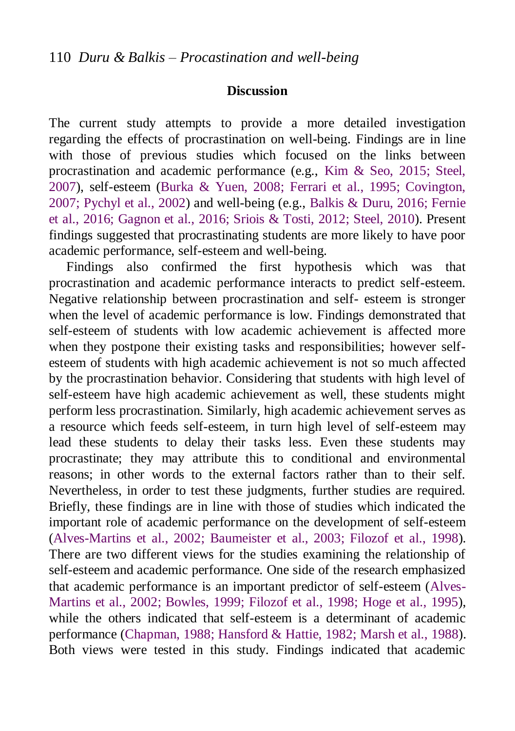#### **Discussion**

The current study attempts to provide a more detailed investigation regarding the effects of procrastination on well-being. Findings are in line with those of previous studies which focused on the links between procrastination and academic performance (e.g., [Kim & Seo, 2015;](#page-19-1) [Steel,](#page-22-0)  [2007\)](#page-22-0), self-esteem [\(Burka & Yuen, 2008;](#page-17-3) [Ferrari et al., 1995;](#page-18-5) [Covington,](#page-18-4)  [2007;](#page-18-4) [Pychyl et al., 2002\)](#page-21-5) and well-being (e.g., [Balkis & Duru, 2016;](#page-17-8) [Fernie](#page-18-1)  [et al., 2016;](#page-18-1) [Gagnon et al., 2016;](#page-19-2) [Sriois & Tosti, 2012;](#page-21-1) [Steel, 2010\)](#page-22-3). Present findings suggested that procrastinating students are more likely to have poor academic performance, self-esteem and well-being.

Findings also confirmed the first hypothesis which was that procrastination and academic performance interacts to predict self-esteem. Negative relationship between procrastination and self- esteem is stronger when the level of academic performance is low. Findings demonstrated that self-esteem of students with low academic achievement is affected more when they postpone their existing tasks and responsibilities; however selfesteem of students with high academic achievement is not so much affected by the procrastination behavior. Considering that students with high level of self-esteem have high academic achievement as well, these students might perform less procrastination. Similarly, high academic achievement serves as a resource which feeds self-esteem, in turn high level of self-esteem may lead these students to delay their tasks less. Even these students may procrastinate; they may attribute this to conditional and environmental reasons; in other words to the external factors rather than to their self. Nevertheless, in order to test these judgments, further studies are required. Briefly, these findings are in line with those of studies which indicated the important role of academic performance on the development of self-esteem [\(Alves-Martins et al., 2002;](#page-17-5) [Baumeister et al., 2003;](#page-17-6) [Filozof et al., 1998\)](#page-18-10). There are two different views for the studies examining the relationship of self-esteem and academic performance. One side of the research emphasized that academic performance is an important predictor of self-esteem [\(Alves-](#page-17-5)[Martins et al., 2002;](#page-17-5) [Bowles, 1999;](#page-17-7) [Filozof et al., 1998;](#page-18-10) [Hoge et al., 1995\)](#page-19-6), while the others indicated that self-esteem is a determinant of academic performance [\(Chapman, 1988;](#page-18-7) [Hansford & Hattie, 1982;](#page-19-5) [Marsh et al., 1988\)](#page-20-5). Both views were tested in this study. Findings indicated that academic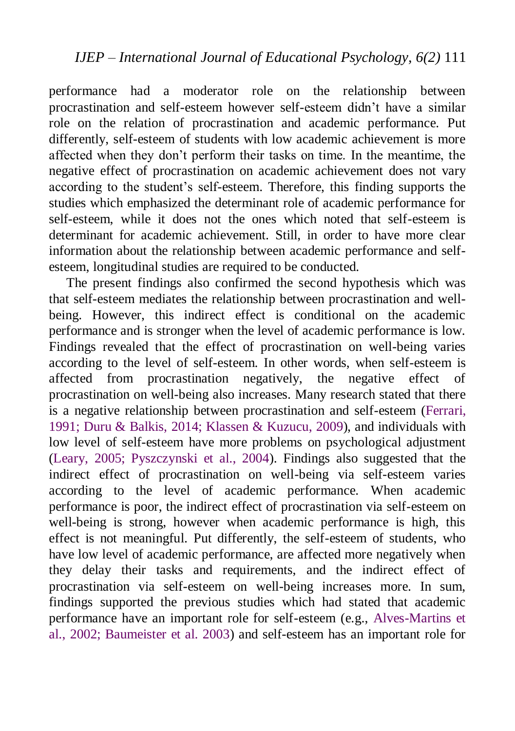performance had a moderator role on the relationship between procrastination and self-esteem however self-esteem didn't have a similar role on the relation of procrastination and academic performance. Put differently, self-esteem of students with low academic achievement is more affected when they don't perform their tasks on time. In the meantime, the negative effect of procrastination on academic achievement does not vary according to the student's self-esteem. Therefore, this finding supports the studies which emphasized the determinant role of academic performance for self-esteem, while it does not the ones which noted that self-esteem is determinant for academic achievement. Still, in order to have more clear information about the relationship between academic performance and selfesteem, longitudinal studies are required to be conducted.

The present findings also confirmed the second hypothesis which was that self-esteem mediates the relationship between procrastination and wellbeing. However, this indirect effect is conditional on the academic performance and is stronger when the level of academic performance is low. Findings revealed that the effect of procrastination on well-being varies according to the level of self-esteem. In other words, when self-esteem is affected from procrastination negatively, the negative effect of procrastination on well-being also increases. Many research stated that there is a negative relationship between procrastination and self-esteem [\(Ferrari,](#page-18-5)  [1991;](#page-18-5) [Duru & Balkis, 2014;](#page-18-2) [Klassen & Kuzucu, 2009\)](#page-20-8), and individuals with low level of self-esteem have more problems on psychological adjustment [\(Leary, 2005;](#page-20-6) [Pyszczynski et al., 2004\)](#page-21-2). Findings also suggested that the indirect effect of procrastination on well-being via self-esteem varies according to the level of academic performance. When academic performance is poor, the indirect effect of procrastination via self-esteem on well-being is strong, however when academic performance is high, this effect is not meaningful. Put differently, the self-esteem of students, who have low level of academic performance, are affected more negatively when they delay their tasks and requirements, and the indirect effect of procrastination via self-esteem on well-being increases more. In sum, findings supported the previous studies which had stated that academic performance have an important role for self-esteem (e.g., [Alves-Martins et](#page-17-5)  [al., 2002;](#page-17-5) [Baumeister et al. 2003\)](#page-17-6) and self-esteem has an important role for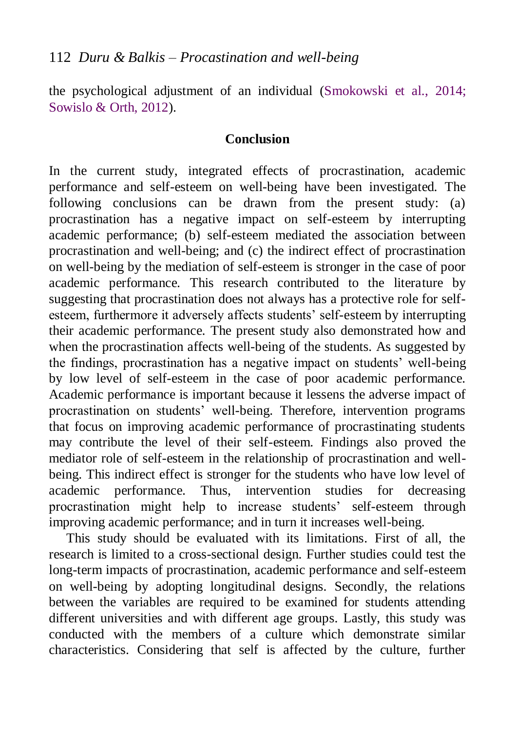the psychological adjustment of an individual [\(Smokowski et al., 2014;](#page-21-3) [Sowislo & Orth, 2012\)](#page-22-4).

#### **Conclusion**

In the current study, integrated effects of procrastination, academic performance and self-esteem on well-being have been investigated. The following conclusions can be drawn from the present study: (a) procrastination has a negative impact on self-esteem by interrupting academic performance; (b) self-esteem mediated the association between procrastination and well-being; and (c) the indirect effect of procrastination on well-being by the mediation of self-esteem is stronger in the case of poor academic performance. This research contributed to the literature by suggesting that procrastination does not always has a protective role for selfesteem, furthermore it adversely affects students' self-esteem by interrupting their academic performance. The present study also demonstrated how and when the procrastination affects well-being of the students. As suggested by the findings, procrastination has a negative impact on students' well-being by low level of self-esteem in the case of poor academic performance. Academic performance is important because it lessens the adverse impact of procrastination on students' well-being. Therefore, intervention programs that focus on improving academic performance of procrastinating students may contribute the level of their self-esteem. Findings also proved the mediator role of self-esteem in the relationship of procrastination and wellbeing. This indirect effect is stronger for the students who have low level of academic performance. Thus, intervention studies for decreasing procrastination might help to increase students' self-esteem through improving academic performance; and in turn it increases well-being.

This study should be evaluated with its limitations. First of all, the research is limited to a cross-sectional design. Further studies could test the long-term impacts of procrastination, academic performance and self-esteem on well-being by adopting longitudinal designs. Secondly, the relations between the variables are required to be examined for students attending different universities and with different age groups. Lastly, this study was conducted with the members of a culture which demonstrate similar characteristics. Considering that self is affected by the culture, further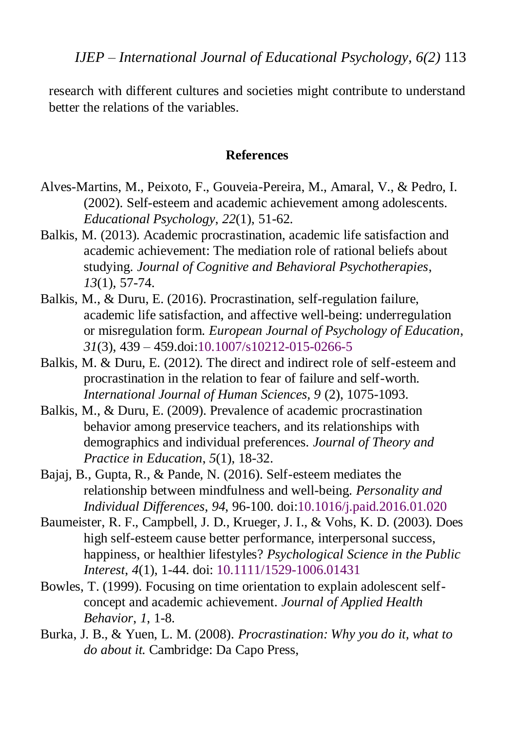research with different cultures and societies might contribute to understand better the relations of the variables.

#### **References**

- <span id="page-17-5"></span>Alves-Martins, M., Peixoto, F., Gouveia-Pereira, M., Amaral, V., & Pedro, I. (2002). Self-esteem and academic achievement among adolescents. *Educational Psychology*, *22*(1), 51-62.
- <span id="page-17-2"></span>Balkis, M. (2013). Academic procrastination, academic life satisfaction and academic achievement: The mediation role of rational beliefs about studying. *Journal of Cognitive and Behavioral Psychotherapies*, *13*(1), 57-74.
- <span id="page-17-8"></span>Balkis, M., & Duru, E. (2016). Procrastination, self-regulation failure, academic life satisfaction, and affective well-being: underregulation or misregulation form. *European Journal of Psychology of Education*, *31*(3), 439 – 459.doi[:10.1007/s10212-015-0266-5](https://link.springer.com/article/10.1007/s10212-015-0266-5)
- <span id="page-17-4"></span>Balkis, M. & Duru, E. (2012). The direct and indirect role of self-esteem and procrastination in the relation to fear of failure and self-worth. *International Journal of Human Sciences, 9* (2), 1075-1093.
- <span id="page-17-0"></span>Balkis, M., & Duru, E. (2009). Prevalence of academic procrastination behavior among preservice teachers, and its relationships with demographics and individual preferences. *Journal of Theory and Practice in Education*, *5*(1), 18-32.
- <span id="page-17-1"></span>Bajaj, B., Gupta, R., & Pande, N. (2016). Self-esteem mediates the relationship between mindfulness and well-being. *Personality and Individual Differences*, *94*, 96-100. [doi:10.1016/j.paid.2016.01.020](http://dx.doi.org/10.1016/j.paid.2016.01.020)
- <span id="page-17-6"></span>Baumeister, R. F., Campbell, J. D., Krueger, J. I., & Vohs, K. D. (2003). Does high self-esteem cause better performance, interpersonal success, happiness, or healthier lifestyles? *Psychological Science in the Public Interest*, *4*(1), 1-44. doi: [10.1111/1529-1006.01431](http://journals.sagepub.com/doi/abs/10.1111/1529-1006.01431)
- <span id="page-17-7"></span>Bowles, T. (1999). Focusing on time orientation to explain adolescent selfconcept and academic achievement. *Journal of Applied Health Behavior*, *1*, 1-8.
- <span id="page-17-3"></span>Burka, J. B., & Yuen, L. M. (2008). *Procrastination: Why you do it, what to do about it.* Cambridge: Da Capo Press,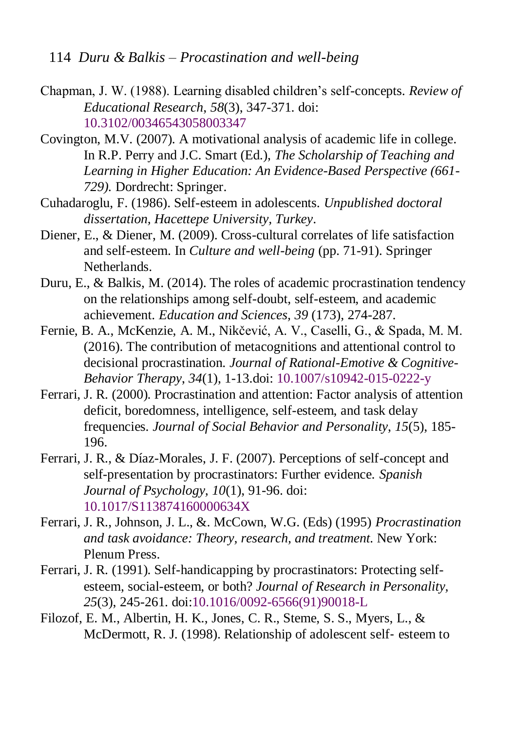114 *Duru & Balkis – Procastination and well-being* 

- <span id="page-18-7"></span>Chapman, J. W. (1988). Learning disabled children's self-concepts. *Review of Educational Research*, *58*(3), 347-371. doi: [10.3102/00346543058003347](http://journals.sagepub.com/doi/abs/10.3102/00346543058003347)
- <span id="page-18-4"></span>Covington, M.V. (2007). A motivational analysis of academic life in college. In R.P. Perry and J.C. Smart (Ed.), *The Scholarship of Teaching and Learning in Higher Education: An Evidence-Based Perspective (661- 729).* Dordrecht: Springer.
- <span id="page-18-9"></span>Cuhadaroglu, F. (1986). Self-esteem in adolescents. *Unpublished doctoral dissertation, Hacettepe University, Turkey*.
- <span id="page-18-8"></span>Diener, E., & Diener, M. (2009). Cross-cultural correlates of life satisfaction and self-esteem. In *Culture and well-being* (pp. 71-91). Springer Netherlands.
- <span id="page-18-2"></span>Duru, E., & Balkis, M. (2014). The roles of academic procrastination tendency on the relationships among self-doubt, self-esteem, and academic achievement. *Education and Sciences, 39* (173), 274-287.
- <span id="page-18-1"></span>Fernie, B. A., McKenzie, A. M., Nikčević, A. V., Caselli, G., & Spada, M. M. (2016). The contribution of metacognitions and attentional control to decisional procrastination. *Journal of Rational-Emotive & Cognitive-Behavior Therapy*, *34*(1), 1-13.doi: [10.1007/s10942-015-0222-y](https://link.springer.com/article/10.1007%2Fs10942-015-0222-y)
- <span id="page-18-3"></span>Ferrari, J. R. (2000). Procrastination and attention: Factor analysis of attention deficit, boredomness, intelligence, self-esteem, and task delay frequencies. *Journal of Social Behavior and Personality*, *15*(5), 185- 196.
- <span id="page-18-6"></span>Ferrari, J. R., & Díaz-Morales, J. F. (2007). Perceptions of self-concept and self-presentation by procrastinators: Further evidence. *Spanish Journal of Psychology, 10*(1), 91-96. doi: [10.1017/S113874160000634X](http://dx.doi.org/10.1017/S113874160000634X)
- <span id="page-18-5"></span>Ferrari, J. R., Johnson, J. L., &. McCown, W.G. (Eds) (1995) *Procrastination and task avoidance: Theory, research, and treatment.* New York: Plenum Press.
- <span id="page-18-0"></span>Ferrari, J. R. (1991). Self-handicapping by procrastinators: Protecting selfesteem, social-esteem, or both? *Journal of Research in Personality, 25*(3), 245-261. [doi:10.1016/0092-6566\(91\)90018-L](http://dx.doi.org/10.1016/0092-6566(91)90018-L)
- <span id="page-18-10"></span>Filozof, E. M., Albertin, H. K., Jones, C. R., Steme, S. S., Myers, L., & McDermott, R. J. (1998). Relationship of adolescent self‐ esteem to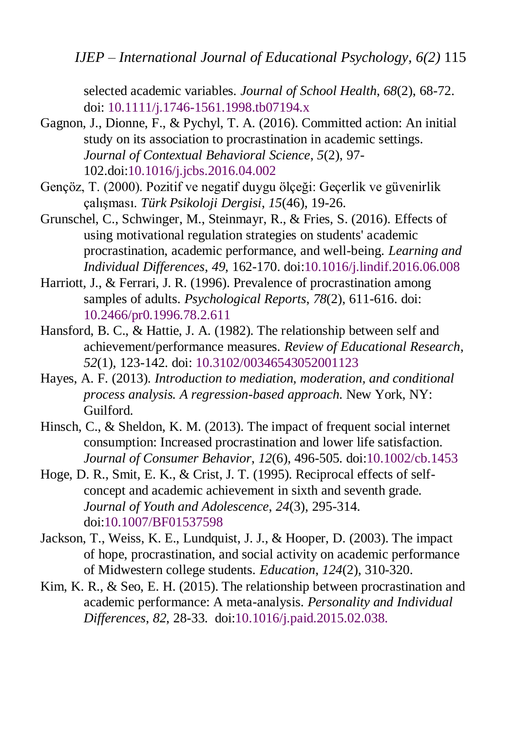*IJEP – International Journal of Educational Psychology, 6(2)* 115

selected academic variables. *Journal of School Health*, *68*(2), 68-72. doi: [10.1111/j.1746-1561.1998.tb07194.x](http://dx.doi.org/10.1016/0092-6566(91)90018-L)

- <span id="page-19-2"></span>Gagnon, J., Dionne, F., & Pychyl, T. A. (2016). Committed action: An initial study on its association to procrastination in academic settings. *Journal of Contextual Behavioral Science*, *5*(2), 97- 102[.doi:10.1016/j.jcbs.2016.04.002](http://dx.doi.org/10.1016/j.jcbs.2016.04.002)
- <span id="page-19-7"></span>Gençöz, T. (2000). Pozitif ve negatif duygu ölçeği: Geçerlik ve güvenirlik çalışması. *Türk Psikoloji Dergisi*, *15*(46), 19-26.
- <span id="page-19-3"></span>Grunschel, C., Schwinger, M., Steinmayr, R., & Fries, S. (2016). Effects of using motivational regulation strategies on students' academic procrastination, academic performance, and well-being. *Learning and Individual Differences*, *49*, 162-170. [doi:10.1016/j.lindif.2016.06.008](http://dx.doi.org/10.1016/j.lindif.2016.06.008)
- Harriott, J., & Ferrari, J. R. (1996). Prevalence of procrastination among samples of adults. *Psychological Reports*, *78*(2), 611-616. doi: [10.2466/pr0.1996.78.2.611](http://journals.sagepub.com/doi/abs/10.2466/pr0.1996.78.2.611)
- <span id="page-19-5"></span>Hansford, B. C., & Hattie, J. A. (1982). The relationship between self and achievement/performance measures. *Review of Educational Research*, *52*(1), 123-142. doi: [10.3102/00346543052001123](http://journals.sagepub.com/doi/abs/10.3102/00346543052001123)
- <span id="page-19-8"></span>Hayes, A. F. (2013). *Introduction to mediation, moderation, and conditional process analysis. A regression-based approach*. New York, NY: Guilford.
- <span id="page-19-4"></span>Hinsch, C., & Sheldon, K. M. (2013). The impact of frequent social internet consumption: Increased procrastination and lower life satisfaction. *Journal of Consumer Behavior*, *12*(6), 496-505. doi[:10.1002/cb.1453](http://onlinelibrary.wiley.com/doi/10.1002/cb.1453/abstract)
- <span id="page-19-6"></span>Hoge, D. R., Smit, E. K., & Crist, J. T. (1995). Reciprocal effects of selfconcept and academic achievement in sixth and seventh grade. *Journal of Youth and Adolescence*, *24*(3), 295-314. doi[:10.1007/BF01537598](https://link.springer.com/article/10.1007/BF01537598)
- <span id="page-19-0"></span>Jackson, T., Weiss, K. E., Lundquist, J. J., & Hooper, D. (2003). The impact of hope, procrastination, and social activity on academic performance of Midwestern college students. *Education*, *124*(2), 310-320.
- <span id="page-19-1"></span>Kim, K. R., & Seo, E. H. (2015). The relationship between procrastination and academic performance: A meta-analysis. *Personality and Individual Differences*, *82*, 28-33. [doi:10.1016/j.paid.2015.02.038.](http://dx.doi.org/10.1016/j.paid.2015.02.038)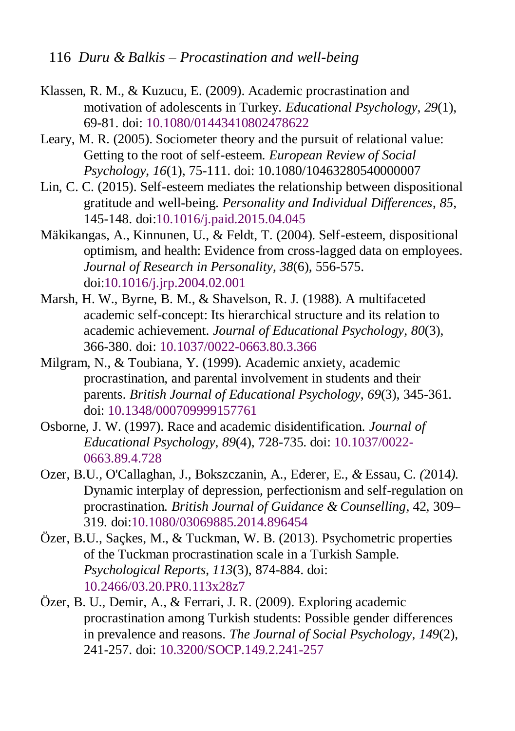116 *Duru & Balkis – Procastination and well-being* 

- <span id="page-20-8"></span>Klassen, R. M., & Kuzucu, E. (2009). Academic procrastination and motivation of adolescents in Turkey. *Educational Psychology*, *29*(1), 69-81. doi: [10.1080/01443410802478622](http://www.tandfonline.com/doi/full/10.1080/01443410802478622)
- <span id="page-20-6"></span>Leary, M. R. (2005). Sociometer theory and the pursuit of relational value: Getting to the root of self-esteem. *European Review of Social Psychology*, *16*(1), 75-111. doi: [10.1080/10463280540000007](http://psycnet.apa.org/doi/10.1080/10463280540000007)
- <span id="page-20-3"></span>Lin, C. C. (2015). Self-esteem mediates the relationship between dispositional gratitude and well-being. *Personality and Individual Differences*, *85*, 145-148. [doi:10.1016/j.paid.2015.04.045](http://dx.doi.org/10.1016/j.paid.2015.04.045)
- <span id="page-20-7"></span>Mäkikangas, A., Kinnunen, U., & Feldt, T. (2004). Self-esteem, dispositional optimism, and health: Evidence from cross-lagged data on employees. *Journal of Research in Personality*, *38*(6), 556-575. [doi:10.1016/j.jrp.2004.02.001](http://dx.doi.org/10.1016/j.jrp.2004.02.001)
- <span id="page-20-5"></span>Marsh, H. W., Byrne, B. M., & Shavelson, R. J. (1988). A multifaceted academic self-concept: Its hierarchical structure and its relation to academic achievement. *Journal of Educational Psychology*, *80*(3), 366-380. doi: [10.1037/0022-0663.80.3.366](http://dx.doi.org/10.1016/j.jrp.2004.02.001)
- <span id="page-20-1"></span>Milgram, N., & Toubiana, Y. (1999). Academic anxiety, academic procrastination, and parental involvement in students and their parents. *British Journal of Educational Psychology*, *69*(3), 345-361. doi: [10.1348/000709999157761](http://dx.doi.org/10.1006/jrpe.1996.0017)
- <span id="page-20-4"></span>Osborne, J. W. (1997). Race and academic disidentification. *Journal of Educational Psychology*, *89*(4), 728-735. doi: [10.1037/0022-](http://psycnet.apa.org/doi/10.1037/0022-0663.89.4.728) [0663.89.4.728](http://psycnet.apa.org/doi/10.1037/0022-0663.89.4.728)
- <span id="page-20-2"></span>Ozer, B.U.*,* O'Callaghan, J.*,* Bokszczanin, A.*,* Ederer, E.*, &* Essau, C. *(*2014*).*  Dynamic interplay of depression, perfectionism and self-regulation on procrastination*. British Journal of Guidance & Counselling,* 42*,* 309*–* 319*.* doi[:10.1080/03069885.2014.896454](http://dx.doi.org/10.1080/03069885.2014.896454)
- Özer, B.U., Saçkes, M., & Tuckman, W. B. (2013). Psychometric properties of the Tuckman procrastination scale in a Turkish Sample*. Psychological Reports*, *113*(3), 874-884. doi: [10.2466/03.20.PR0.113x28z7](http://dx.doi.org/10.2466/03.20.PR0.113x28z7)
- <span id="page-20-0"></span>Özer, B. U., Demir, A., & Ferrari, J. R. (2009). Exploring academic procrastination among Turkish students: Possible gender differences in prevalence and reasons. *The Journal of Social Psychology*, *149*(2), 241-257. doi: [10.3200/SOCP.149.2.241-257](http://dx.doi.org/10.3200/SOCP.149.2.241-257)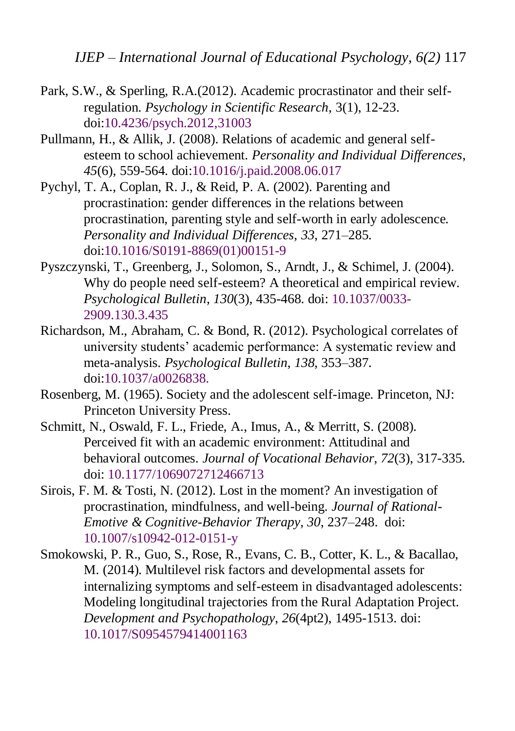*IJEP – International Journal of Educational Psychology, 6(2)* 117

- <span id="page-21-4"></span>Park, S.W., & Sperling, R.A.(2012). Academic procrastinator and their selfregulation. *Psychology in Scientific Research*, 3(1), 12-23. doi[:10.4236/psych.2012,31003](http://file.scirp.org/pdf/PSYCH20120100001_99209019.pdf)
- <span id="page-21-6"></span>Pullmann, H., & Allik, J. (2008). Relations of academic and general selfesteem to school achievement. *Personality and Individual Differences*, *45*(6), 559-564. [doi:10.1016/j.paid.2008.06.017](http://dx.doi.org/10.1016/j.paid.2008.06.017)
- <span id="page-21-5"></span>Pychyl, T. A., Coplan, R. J., & Reid, P. A. (2002). Parenting and procrastination: gender differences in the relations between procrastination, parenting style and self-worth in early adolescence*. Personality and Individual Differences, 33*, 271–285. [doi:10.1016/S0191-8869\(01\)00151-9](http://psycnet.apa.org/doi/10.1016/S0191-8869(01)00151-9)
- <span id="page-21-2"></span>Pyszczynski, T., Greenberg, J., Solomon, S., Arndt, J., & Schimel, J. (2004). Why do people need self-esteem? A theoretical and empirical review. *Psychological Bulletin*, *130*(3), 435-468. doi: [10.1037/0033-](http://psycnet.apa.org/doi/10.1037/0033-2909.130.3.435) [2909.130.3.435](http://psycnet.apa.org/doi/10.1037/0033-2909.130.3.435)
- <span id="page-21-0"></span>Richardson, M., Abraham, C. & Bond, R. (2012). Psychological correlates of university students' academic performance: A systematic review and meta-analysis. *Psychological Bulletin*, *138*, 353–387. [doi:10.1037/a0026838.](http://dx.doi.org/10.1037/a0026838)
- <span id="page-21-7"></span>Rosenberg, M. (1965). Society and the adolescent self-image. Princeton, NJ: Princeton University Press.
- <span id="page-21-8"></span>Schmitt, N., Oswald, F. L., Friede, A., Imus, A., & Merritt, S. (2008). Perceived fit with an academic environment: Attitudinal and behavioral outcomes. *Journal of Vocational Behavior*, *72*(3), 317-335. doi: 10.1177/1069072712466713
- <span id="page-21-1"></span>Sirois, F. M. & Tosti, N. (2012). Lost in the moment? An investigation of procrastination, mindfulness, and well-being. *Journal of Rational-Emotive & Cognitive-Behavior Therapy*, *30*, 237–248. doi: 10.1007/s10942-012-0151-y
- <span id="page-21-3"></span>Smokowski, P. R., Guo, S., Rose, R., Evans, C. B., Cotter, K. L., & Bacallao, M. (2014). Multilevel risk factors and developmental assets for internalizing symptoms and self-esteem in disadvantaged adolescents: Modeling longitudinal trajectories from the Rural Adaptation Project. *Development and Psychopathology*, *26*(4pt2), 1495-1513. doi: [10.1017/S0954579414001163](http://dx.doi.org/10.1017/S0954579414001163)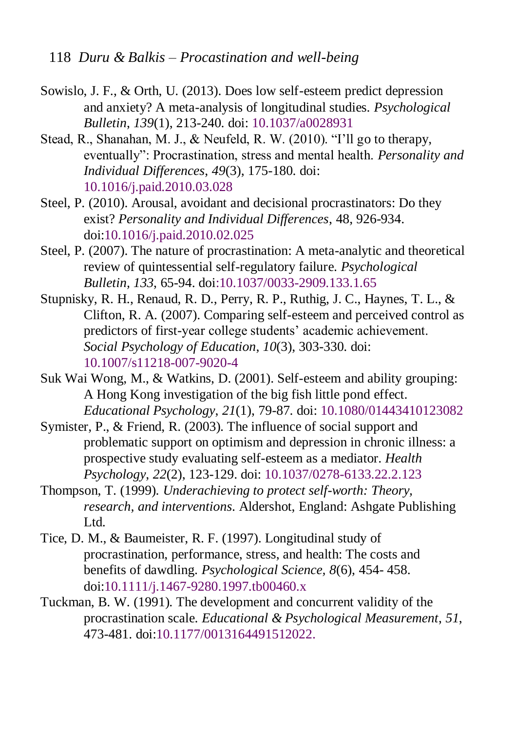- <span id="page-22-4"></span>Sowislo, J. F., & Orth, U. (2013). Does low self-esteem predict depression and anxiety? A meta-analysis of longitudinal studies. *Psychological Bulletin*, *139*(1), 213-240. doi: [10.1037/a0028931](http://psycnet.apa.org/doi/10.1037/a0028931)
- <span id="page-22-1"></span>Stead, R., Shanahan, M. J., & Neufeld, R. W. (2010). "I'll go to therapy, eventually": Procrastination, stress and mental health. *Personality and Individual Differences*, *49*(3), 175-180. doi: [10.1016/j.paid.2010.03.028](http://dx.doi.org/10.1016/j.paid.2010.03.028)
- <span id="page-22-3"></span>Steel, P. (2010). Arousal, avoidant and decisional procrastinators: Do they exist? *Personality and Individual Differences*, 48, 926-934. doi[:10.1016/j.paid.2010.02.025](http://www.sciencedirect.com/science/article/pii/S0191886910000930)
- <span id="page-22-0"></span>Steel, P. (2007). The nature of procrastination: A meta-analytic and theoretical review of quintessential self-regulatory failure. *Psychological Bulletin, 133*, 65-94. [doi:10.1037/0033-2909.133.1.65](http://dx.doi.org/10.1037/0033-2909.133.1.65)
- <span id="page-22-7"></span>Stupnisky, R. H., Renaud, R. D., Perry, R. P., Ruthig, J. C., Haynes, T. L., & Clifton, R. A. (2007). Comparing self-esteem and perceived control as predictors of first-year college students' academic achievement. *Social Psychology of Education*, *10*(3), 303-330. doi: [10.1007/s11218-007-9020-4](https://link.springer.com/article/10.1007/s11218-007-9020-4)
- <span id="page-22-6"></span>Suk Wai Wong, M., & Watkins, D. (2001). Self-esteem and ability grouping: A Hong Kong investigation of the big fish little pond effect. *Educational Psychology*, *21*(1), 79-87. doi: [10.1080/01443410123082](http://dx.doi.org/10.1080/01443410123082)
- <span id="page-22-8"></span>Symister, P., & Friend, R. (2003). The influence of social support and problematic support on optimism and depression in chronic illness: a prospective study evaluating self-esteem as a mediator. *Health Psychology*, *22*(2), 123-129. doi: [10.1037/0278-6133.22.2.123](http://psycnet.apa.org/doi/10.1037/0278-6133.22.2.123)
- <span id="page-22-5"></span>Thompson, T. (1999). *Underachieving to protect self-worth: Theory, research, and interventions*. Aldershot, England: Ashgate Publishing Ltd.
- <span id="page-22-2"></span>Tice, D. M., & Baumeister, R. F. (1997). Longitudinal study of procrastination, performance, stress, and health: The costs and benefits of dawdling. *Psychological Science, 8*(6), 454- 458. [doi:10.1111/j.1467-9280.1997.tb00460.x](http://dx.doi.org/10.1111/j.1467-9280.1997.tb00460.x)
- Tuckman, B. W. (1991). The development and concurrent validity of the procrastination scale. *Educational & Psychological Measurement*, *51*, 473-481. [doi:10.1177/0013164491512022.](http://dx.doi.org/10.1177/0013164491512022)